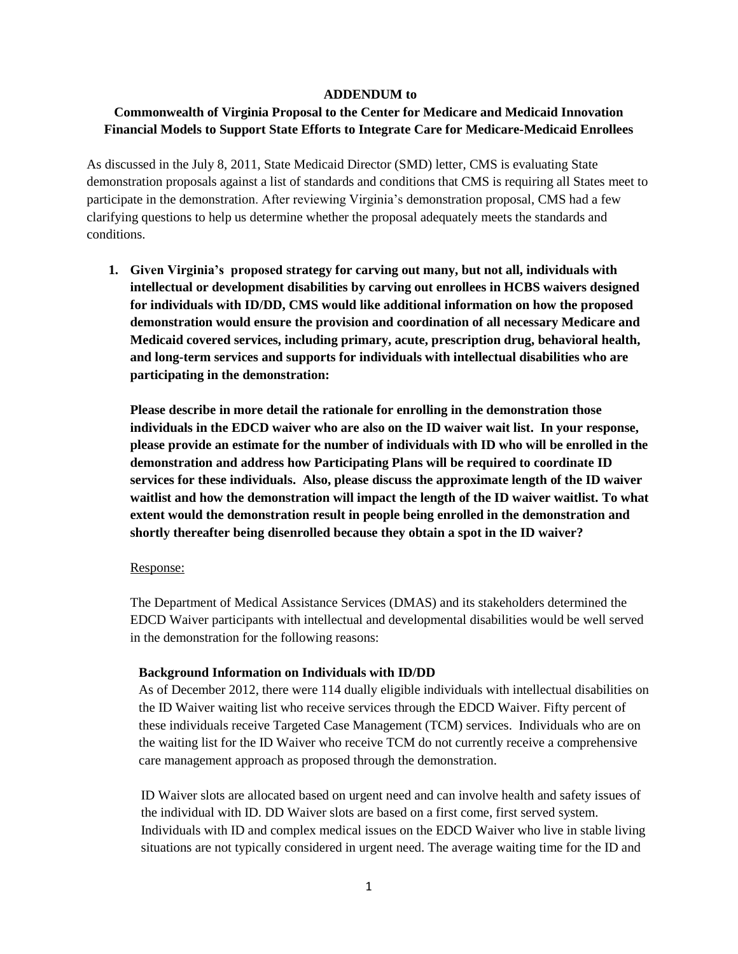#### **ADDENDUM to**

# **Commonwealth of Virginia Proposal to the Center for Medicare and Medicaid Innovation Financial Models to Support State Efforts to Integrate Care for Medicare-Medicaid Enrollees**

As discussed in the July 8, 2011, State Medicaid Director (SMD) letter, CMS is evaluating State demonstration proposals against a list of standards and conditions that CMS is requiring all States meet to participate in the demonstration. After reviewing Virginia's demonstration proposal, CMS had a few clarifying questions to help us determine whether the proposal adequately meets the standards and conditions.

**1. Given Virginia's proposed strategy for carving out many, but not all, individuals with intellectual or development disabilities by carving out enrollees in HCBS waivers designed for individuals with ID/DD, CMS would like additional information on how the proposed demonstration would ensure the provision and coordination of all necessary Medicare and Medicaid covered services, including primary, acute, prescription drug, behavioral health, and long-term services and supports for individuals with intellectual disabilities who are participating in the demonstration:** 

**Please describe in more detail the rationale for enrolling in the demonstration those individuals in the EDCD waiver who are also on the ID waiver wait list. In your response, please provide an estimate for the number of individuals with ID who will be enrolled in the demonstration and address how Participating Plans will be required to coordinate ID services for these individuals. Also, please discuss the approximate length of the ID waiver waitlist and how the demonstration will impact the length of the ID waiver waitlist. To what extent would the demonstration result in people being enrolled in the demonstration and shortly thereafter being disenrolled because they obtain a spot in the ID waiver?**

#### Response:

The Department of Medical Assistance Services (DMAS) and its stakeholders determined the EDCD Waiver participants with intellectual and developmental disabilities would be well served in the demonstration for the following reasons:

#### **Background Information on Individuals with ID/DD**

As of December 2012, there were 114 dually eligible individuals with intellectual disabilities on the ID Waiver waiting list who receive services through the EDCD Waiver. Fifty percent of these individuals receive Targeted Case Management (TCM) services. Individuals who are on the waiting list for the ID Waiver who receive TCM do not currently receive a comprehensive care management approach as proposed through the demonstration.

ID Waiver slots are allocated based on urgent need and can involve health and safety issues of the individual with ID. DD Waiver slots are based on a first come, first served system. Individuals with ID and complex medical issues on the EDCD Waiver who live in stable living situations are not typically considered in urgent need. The average waiting time for the ID and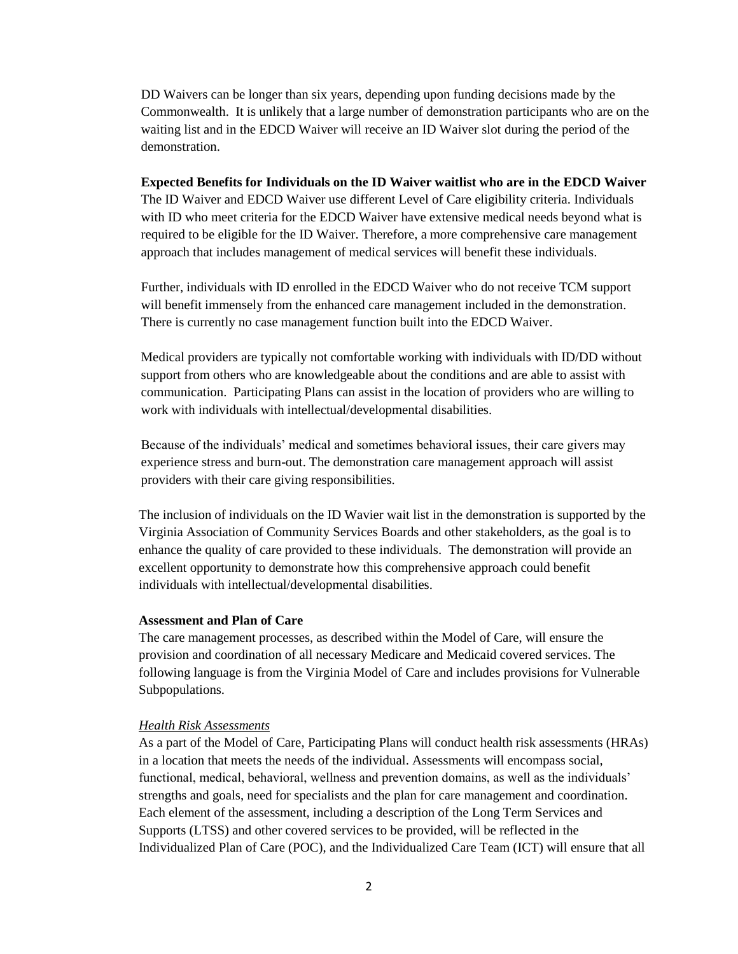DD Waivers can be longer than six years, depending upon funding decisions made by the Commonwealth. It is unlikely that a large number of demonstration participants who are on the waiting list and in the EDCD Waiver will receive an ID Waiver slot during the period of the demonstration.

#### **Expected Benefits for Individuals on the ID Waiver waitlist who are in the EDCD Waiver**

The ID Waiver and EDCD Waiver use different Level of Care eligibility criteria. Individuals with ID who meet criteria for the EDCD Waiver have extensive medical needs beyond what is required to be eligible for the ID Waiver. Therefore, a more comprehensive care management approach that includes management of medical services will benefit these individuals.

Further, individuals with ID enrolled in the EDCD Waiver who do not receive TCM support will benefit immensely from the enhanced care management included in the demonstration. There is currently no case management function built into the EDCD Waiver.

Medical providers are typically not comfortable working with individuals with ID/DD without support from others who are knowledgeable about the conditions and are able to assist with communication. Participating Plans can assist in the location of providers who are willing to work with individuals with intellectual/developmental disabilities.

Because of the individuals' medical and sometimes behavioral issues, their care givers may experience stress and burn-out. The demonstration care management approach will assist providers with their care giving responsibilities.

The inclusion of individuals on the ID Wavier wait list in the demonstration is supported by the Virginia Association of Community Services Boards and other stakeholders, as the goal is to enhance the quality of care provided to these individuals. The demonstration will provide an excellent opportunity to demonstrate how this comprehensive approach could benefit individuals with intellectual/developmental disabilities.

#### **Assessment and Plan of Care**

The care management processes, as described within the Model of Care, will ensure the provision and coordination of all necessary Medicare and Medicaid covered services. The following language is from the Virginia Model of Care and includes provisions for Vulnerable Subpopulations.

#### *Health Risk Assessments*

As a part of the Model of Care, Participating Plans will conduct health risk assessments (HRAs) in a location that meets the needs of the individual. Assessments will encompass social, functional, medical, behavioral, wellness and prevention domains, as well as the individuals' strengths and goals, need for specialists and the plan for care management and coordination. Each element of the assessment, including a description of the Long Term Services and Supports (LTSS) and other covered services to be provided, will be reflected in the Individualized Plan of Care (POC), and the Individualized Care Team (ICT) will ensure that all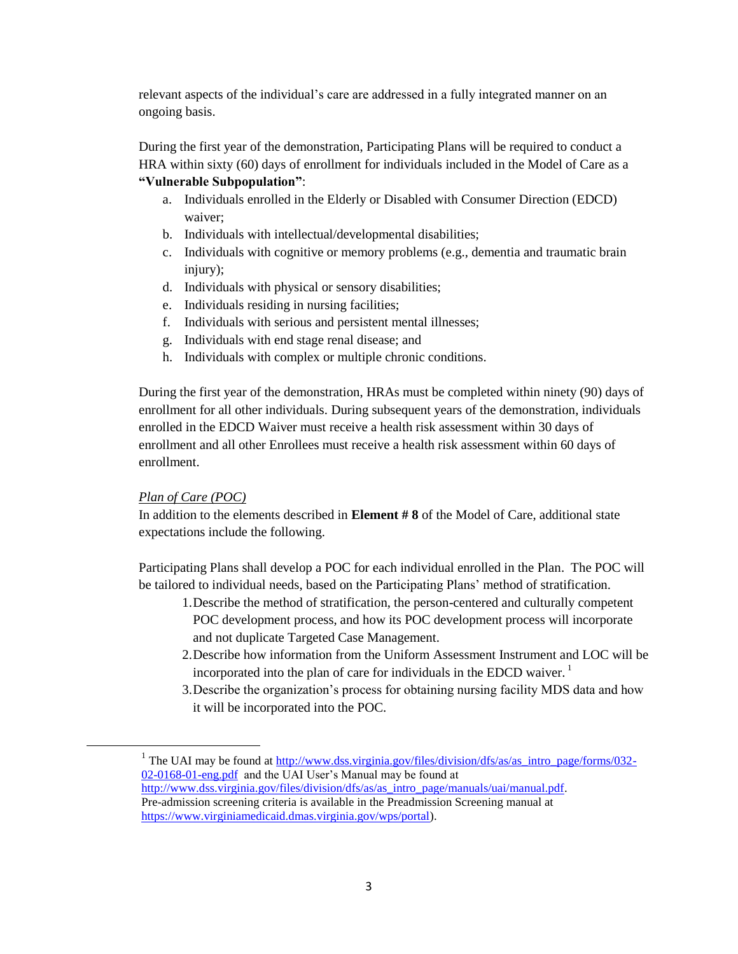relevant aspects of the individual's care are addressed in a fully integrated manner on an ongoing basis.

During the first year of the demonstration, Participating Plans will be required to conduct a HRA within sixty (60) days of enrollment for individuals included in the Model of Care as a **"Vulnerable Subpopulation"**:

- a. Individuals enrolled in the Elderly or Disabled with Consumer Direction (EDCD) waiver;
- b. Individuals with intellectual/developmental disabilities;
- c. Individuals with cognitive or memory problems (e.g., dementia and traumatic brain injury);
- d. Individuals with physical or sensory disabilities;
- e. Individuals residing in nursing facilities;
- f. Individuals with serious and persistent mental illnesses;
- g. Individuals with end stage renal disease; and
- h. Individuals with complex or multiple chronic conditions.

During the first year of the demonstration, HRAs must be completed within ninety (90) days of enrollment for all other individuals. During subsequent years of the demonstration, individuals enrolled in the EDCD Waiver must receive a health risk assessment within 30 days of enrollment and all other Enrollees must receive a health risk assessment within 60 days of enrollment.

## *Plan of Care (POC)*

 $\overline{\phantom{a}}$ 

In addition to the elements described in **Element # 8** of the Model of Care, additional state expectations include the following.

Participating Plans shall develop a POC for each individual enrolled in the Plan. The POC will be tailored to individual needs, based on the Participating Plans' method of stratification.

- 1.Describe the method of stratification, the person-centered and culturally competent POC development process, and how its POC development process will incorporate and not duplicate Targeted Case Management.
- 2.Describe how information from the Uniform Assessment Instrument and LOC will be incorporated into the plan of care for individuals in the EDCD waiver.<sup>1</sup>
- 3.Describe the organization's process for obtaining nursing facility MDS data and how it will be incorporated into the POC.

<sup>&</sup>lt;sup>1</sup> The UAI may be found at  $\frac{http://www.dss.virginia.gov/files/division/dfs/as/as_intro_page/forms/032-$ [02-0168-01-eng.pdf](http://www.dss.virginia.gov/files/division/dfs/as/as_intro_page/forms/032-02-0168-01-eng.pdf) and the UAI User's Manual may be found at [http://www.dss.virginia.gov/files/division/dfs/as/as\\_intro\\_page/manuals/uai/manual.pdf.](http://www.dss.virginia.gov/files/division/dfs/as/as_intro_page/manuals/uai/manual.pdf) Pre-admission screening criteria is available in the Preadmission Screening manual at

[https://www.virginiamedicaid.dmas.virginia.gov/wps/portal\)](https://www.virginiamedicaid.dmas.virginia.gov/wps/portal).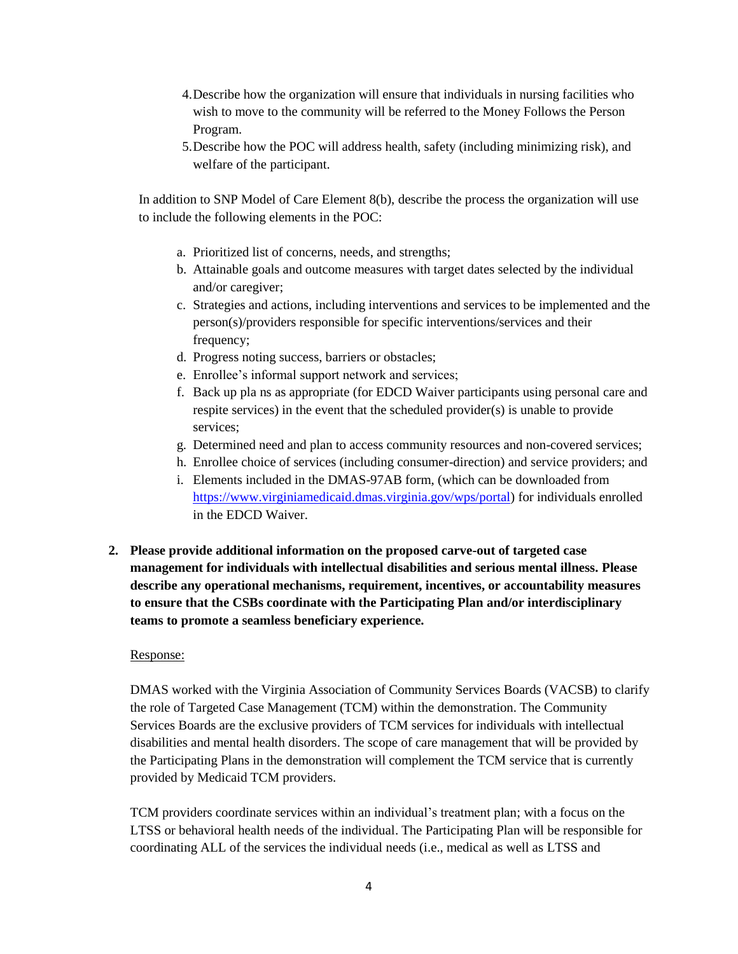- 4.Describe how the organization will ensure that individuals in nursing facilities who wish to move to the community will be referred to the Money Follows the Person Program.
- 5.Describe how the POC will address health, safety (including minimizing risk), and welfare of the participant.

In addition to SNP Model of Care Element 8(b), describe the process the organization will use to include the following elements in the POC:

- a. Prioritized list of concerns, needs, and strengths;
- b. Attainable goals and outcome measures with target dates selected by the individual and/or caregiver;
- c. Strategies and actions, including interventions and services to be implemented and the person(s)/providers responsible for specific interventions/services and their frequency;
- d. Progress noting success, barriers or obstacles;
- e. Enrollee's informal support network and services;
- f. Back up pla ns as appropriate (for EDCD Waiver participants using personal care and respite services) in the event that the scheduled provider(s) is unable to provide services;
- g. Determined need and plan to access community resources and non-covered services;
- h. Enrollee choice of services (including consumer-direction) and service providers; and
- i. Elements included in the DMAS-97AB form, (which can be downloaded from [https://www.virginiamedicaid.dmas.virginia.gov/wps/portal\)](https://www.virginiamedicaid.dmas.virginia.gov/wps/portal) for individuals enrolled in the EDCD Waiver.
- **2. Please provide additional information on the proposed carve-out of targeted case management for individuals with intellectual disabilities and serious mental illness. Please describe any operational mechanisms, requirement, incentives, or accountability measures to ensure that the CSBs coordinate with the Participating Plan and/or interdisciplinary teams to promote a seamless beneficiary experience.**

## Response:

DMAS worked with the Virginia Association of Community Services Boards (VACSB) to clarify the role of Targeted Case Management (TCM) within the demonstration. The Community Services Boards are the exclusive providers of TCM services for individuals with intellectual disabilities and mental health disorders. The scope of care management that will be provided by the Participating Plans in the demonstration will complement the TCM service that is currently provided by Medicaid TCM providers.

TCM providers coordinate services within an individual's treatment plan; with a focus on the LTSS or behavioral health needs of the individual. The Participating Plan will be responsible for coordinating ALL of the services the individual needs (i.e., medical as well as LTSS and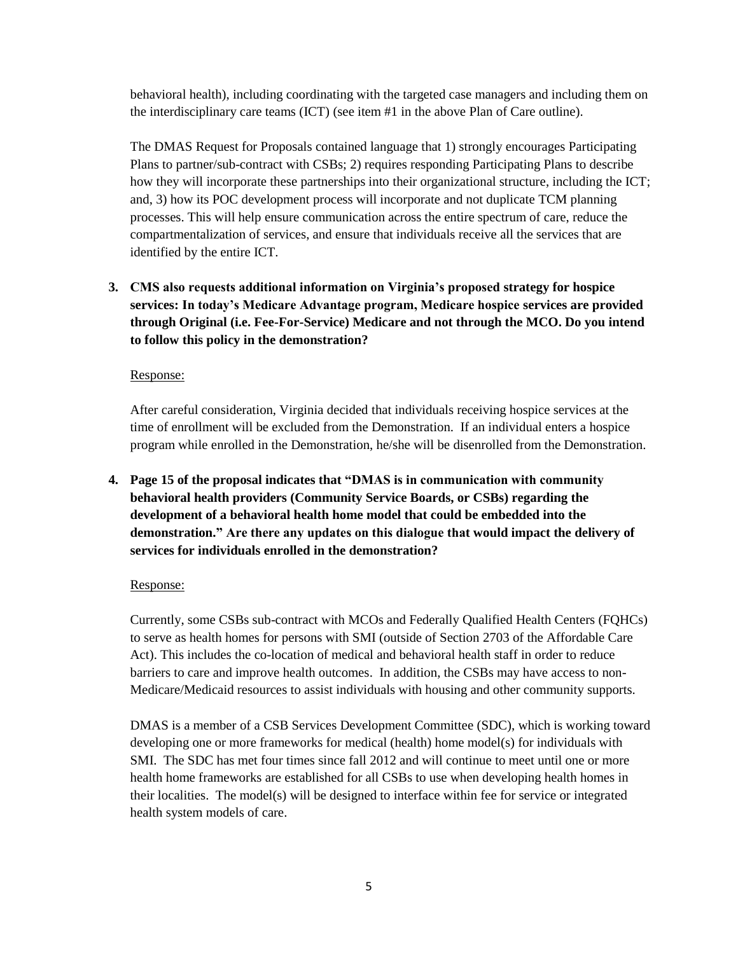behavioral health), including coordinating with the targeted case managers and including them on the interdisciplinary care teams (ICT) (see item #1 in the above Plan of Care outline).

The DMAS Request for Proposals contained language that 1) strongly encourages Participating Plans to partner/sub-contract with CSBs; 2) requires responding Participating Plans to describe how they will incorporate these partnerships into their organizational structure, including the ICT; and, 3) how its POC development process will incorporate and not duplicate TCM planning processes. This will help ensure communication across the entire spectrum of care, reduce the compartmentalization of services, and ensure that individuals receive all the services that are identified by the entire ICT.

**3. CMS also requests additional information on Virginia's proposed strategy for hospice services: In today's Medicare Advantage program, Medicare hospice services are provided through Original (i.e. Fee-For-Service) Medicare and not through the MCO. Do you intend to follow this policy in the demonstration?** 

## Response:

After careful consideration, Virginia decided that individuals receiving hospice services at the time of enrollment will be excluded from the Demonstration. If an individual enters a hospice program while enrolled in the Demonstration, he/she will be disenrolled from the Demonstration.

**4. Page 15 of the proposal indicates that "DMAS is in communication with community behavioral health providers (Community Service Boards, or CSBs) regarding the development of a behavioral health home model that could be embedded into the demonstration." Are there any updates on this dialogue that would impact the delivery of services for individuals enrolled in the demonstration?**

## Response:

Currently, some CSBs sub-contract with MCOs and Federally Qualified Health Centers (FQHCs) to serve as health homes for persons with SMI (outside of Section 2703 of the Affordable Care Act). This includes the co-location of medical and behavioral health staff in order to reduce barriers to care and improve health outcomes. In addition, the CSBs may have access to non-Medicare/Medicaid resources to assist individuals with housing and other community supports.

DMAS is a member of a CSB Services Development Committee (SDC), which is working toward developing one or more frameworks for medical (health) home model(s) for individuals with SMI. The SDC has met four times since fall 2012 and will continue to meet until one or more health home frameworks are established for all CSBs to use when developing health homes in their localities. The model(s) will be designed to interface within fee for service or integrated health system models of care.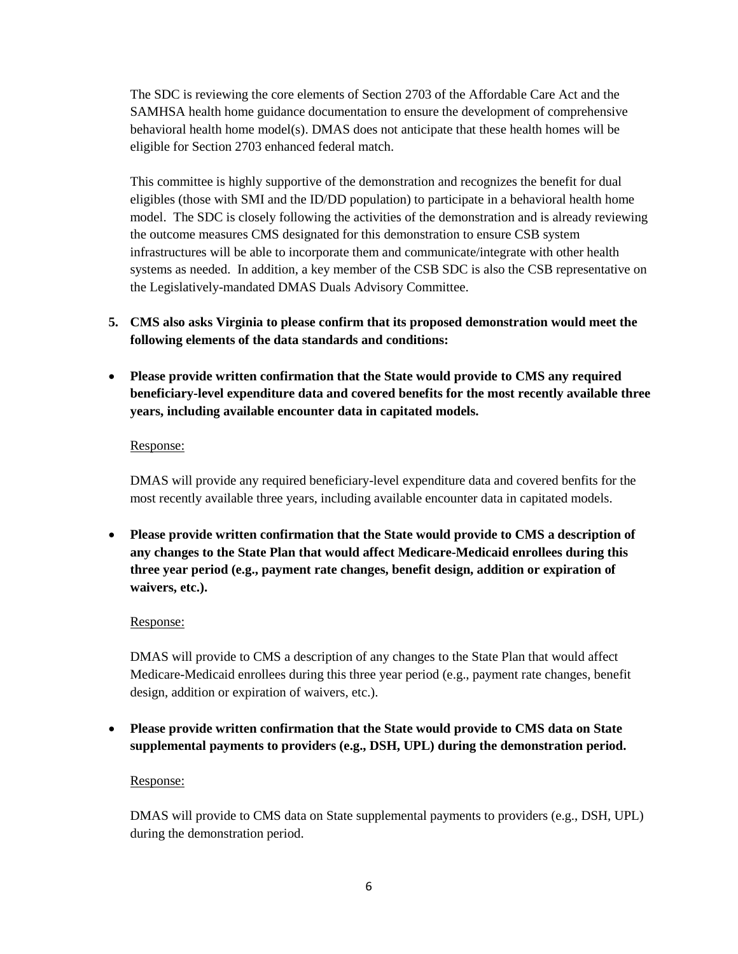The SDC is reviewing the core elements of Section 2703 of the Affordable Care Act and the SAMHSA health home guidance documentation to ensure the development of comprehensive behavioral health home model(s). DMAS does not anticipate that these health homes will be eligible for Section 2703 enhanced federal match.

This committee is highly supportive of the demonstration and recognizes the benefit for dual eligibles (those with SMI and the ID/DD population) to participate in a behavioral health home model. The SDC is closely following the activities of the demonstration and is already reviewing the outcome measures CMS designated for this demonstration to ensure CSB system infrastructures will be able to incorporate them and communicate/integrate with other health systems as needed. In addition, a key member of the CSB SDC is also the CSB representative on the Legislatively-mandated DMAS Duals Advisory Committee.

- **5. CMS also asks Virginia to please confirm that its proposed demonstration would meet the following elements of the data standards and conditions:**
- **Please provide written confirmation that the State would provide to CMS any required beneficiary-level expenditure data and covered benefits for the most recently available three years, including available encounter data in capitated models.**

## Response:

DMAS will provide any required beneficiary-level expenditure data and covered benfits for the most recently available three years, including available encounter data in capitated models.

 **Please provide written confirmation that the State would provide to CMS a description of any changes to the State Plan that would affect Medicare-Medicaid enrollees during this three year period (e.g., payment rate changes, benefit design, addition or expiration of waivers, etc.).**

# Response:

DMAS will provide to CMS a description of any changes to the State Plan that would affect Medicare-Medicaid enrollees during this three year period (e.g., payment rate changes, benefit design, addition or expiration of waivers, etc.).

 **Please provide written confirmation that the State would provide to CMS data on State supplemental payments to providers (e.g., DSH, UPL) during the demonstration period.**

# Response:

DMAS will provide to CMS data on State supplemental payments to providers (e.g., DSH, UPL) during the demonstration period.